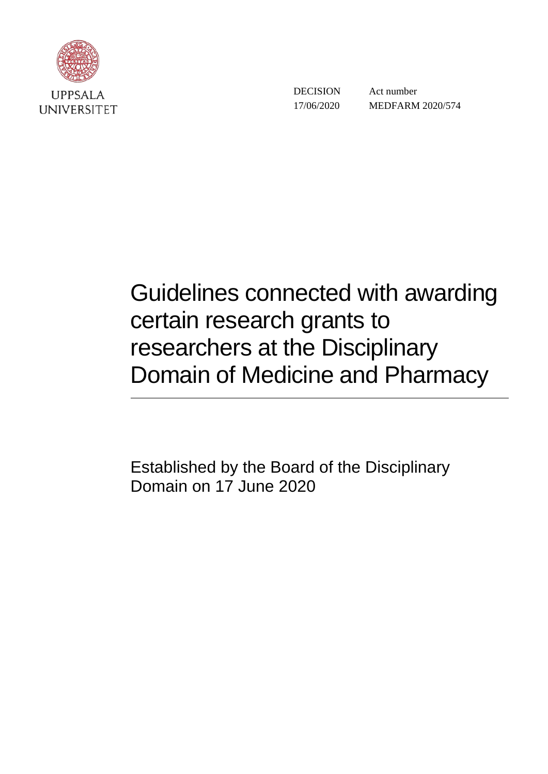

DECISION 17/06/2020

 Act number MEDFARM 2020/574

# Guidelines connected with awarding certain research grants to researchers at the Disciplinary Domain of Medicine and Pharmacy

Established by the Board of the Disciplinary Domain on 17 June 2020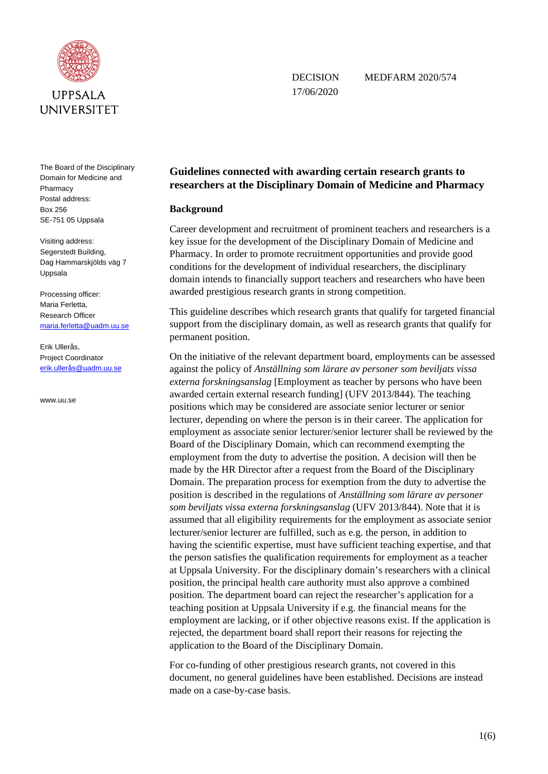

17/06/2020

DECISION MEDFARM 2020/574

The Board of the Disciplinary Domain for Medicine and Pharmacy

Postal address: Box 256 SE-751 05 Uppsala

Visiting address: Segerstedt Building, Dag Hammarskjölds väg 7 Uppsala

Processing officer: Maria Ferletta, Research Officer [maria.ferletta@uadm.uu.se](mailto:maria.ferletta@uadm.uu.se)

Erik Ullerås, Project Coordinator [erik.ullerås@uadm.uu.se](mailto:erik.uller%C3%A5s@uadm.uu.se)

www.uu.se

# **Guidelines connected with awarding certain research grants to researchers at the Disciplinary Domain of Medicine and Pharmacy**

## **Background**

Career development and recruitment of prominent teachers and researchers is a key issue for the development of the Disciplinary Domain of Medicine and Pharmacy. In order to promote recruitment opportunities and provide good conditions for the development of individual researchers, the disciplinary domain intends to financially support teachers and researchers who have been awarded prestigious research grants in strong competition.

This guideline describes which research grants that qualify for targeted financial support from the disciplinary domain, as well as research grants that qualify for permanent position.

On the initiative of the relevant department board, employments can be assessed against the policy of *Anställning som lärare av personer som beviljats vissa externa forskningsanslag* [Employment as teacher by persons who have been awarded certain external research funding] (UFV 2013/844). The teaching positions which may be considered are associate senior lecturer or senior lecturer, depending on where the person is in their career. The application for employment as associate senior lecturer/senior lecturer shall be reviewed by the Board of the Disciplinary Domain, which can recommend exempting the employment from the duty to advertise the position. A decision will then be made by the HR Director after a request from the Board of the Disciplinary Domain. The preparation process for exemption from the duty to advertise the position is described in the regulations of *Anställning som lärare av personer som beviljats vissa externa forskningsanslag* (UFV 2013/844). Note that it is assumed that all eligibility requirements for the employment as associate senior lecturer/senior lecturer are fulfilled, such as e.g. the person, in addition to having the scientific expertise, must have sufficient teaching expertise, and that the person satisfies the qualification requirements for employment as a teacher at Uppsala University. For the disciplinary domain's researchers with a clinical position, the principal health care authority must also approve a combined position. The department board can reject the researcher's application for a teaching position at Uppsala University if e.g. the financial means for the employment are lacking, or if other objective reasons exist. If the application is rejected, the department board shall report their reasons for rejecting the application to the Board of the Disciplinary Domain.

For co-funding of other prestigious research grants, not covered in this document, no general guidelines have been established. Decisions are instead made on a case-by-case basis.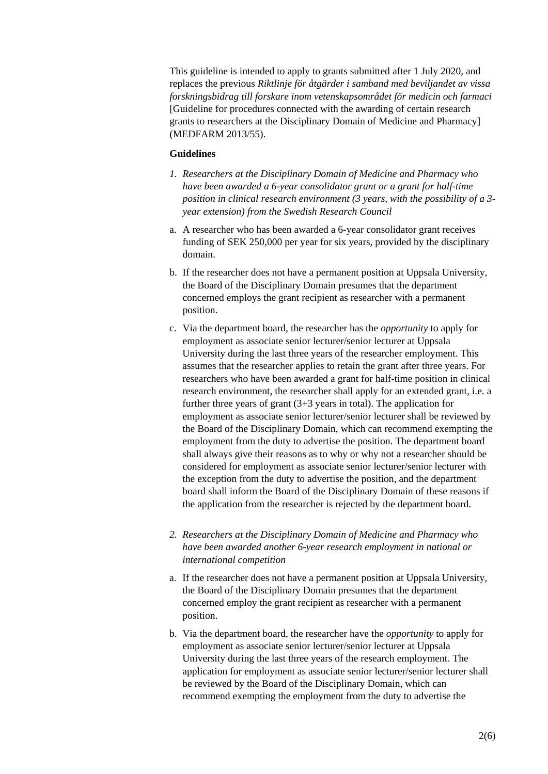This guideline is intended to apply to grants submitted after 1 July 2020, and replaces the previous *Riktlinje för åtgärder i samband med beviljandet av vissa forskningsbidrag till forskare inom vetenskapsområdet för medicin och farmaci* [Guideline for procedures connected with the awarding of certain research grants to researchers at the Disciplinary Domain of Medicine and Pharmacy] (MEDFARM 2013/55).

#### **Guidelines**

- *1. Researchers at the Disciplinary Domain of Medicine and Pharmacy who have been awarded a 6-year consolidator grant or a grant for half-time position in clinical research environment (3 years, with the possibility of a 3 year extension) from the Swedish Research Council*
- a. A researcher who has been awarded a 6-year consolidator grant receives funding of SEK 250,000 per year for six years, provided by the disciplinary domain.
- b. If the researcher does not have a permanent position at Uppsala University, the Board of the Disciplinary Domain presumes that the department concerned employs the grant recipient as researcher with a permanent position.
- c. Via the department board, the researcher has the *opportunity* to apply for employment as associate senior lecturer/senior lecturer at Uppsala University during the last three years of the researcher employment. This assumes that the researcher applies to retain the grant after three years. For researchers who have been awarded a grant for half-time position in clinical research environment, the researcher shall apply for an extended grant, i.e. a further three years of grant  $(3+3)$  years in total). The application for employment as associate senior lecturer/senior lecturer shall be reviewed by the Board of the Disciplinary Domain, which can recommend exempting the employment from the duty to advertise the position. The department board shall always give their reasons as to why or why not a researcher should be considered for employment as associate senior lecturer/senior lecturer with the exception from the duty to advertise the position, and the department board shall inform the Board of the Disciplinary Domain of these reasons if the application from the researcher is rejected by the department board.
- *2. Researchers at the Disciplinary Domain of Medicine and Pharmacy who have been awarded another 6-year research employment in national or international competition*
- a. If the researcher does not have a permanent position at Uppsala University, the Board of the Disciplinary Domain presumes that the department concerned employ the grant recipient as researcher with a permanent position.
- b. Via the department board, the researcher have the *opportunity* to apply for employment as associate senior lecturer/senior lecturer at Uppsala University during the last three years of the research employment. The application for employment as associate senior lecturer/senior lecturer shall be reviewed by the Board of the Disciplinary Domain, which can recommend exempting the employment from the duty to advertise the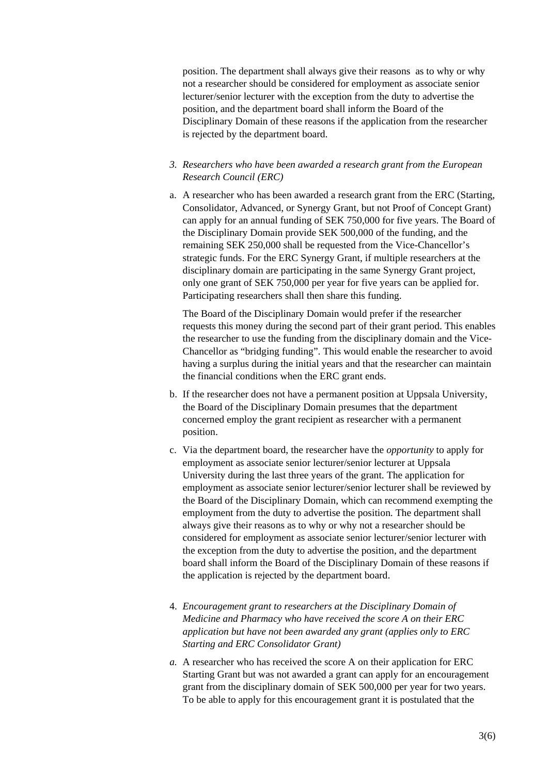position. The department shall always give their reasons as to why or why not a researcher should be considered for employment as associate senior lecturer/senior lecturer with the exception from the duty to advertise the position, and the department board shall inform the Board of the Disciplinary Domain of these reasons if the application from the researcher is rejected by the department board.

## *3. Researchers who have been awarded a research grant from the European Research Council (ERC)*

a. A researcher who has been awarded a research grant from the ERC (Starting, Consolidator, Advanced, or Synergy Grant, but not Proof of Concept Grant) can apply for an annual funding of SEK 750,000 for five years. The Board of the Disciplinary Domain provide SEK 500,000 of the funding, and the remaining SEK 250,000 shall be requested from the Vice-Chancellor's strategic funds. For the ERC Synergy Grant, if multiple researchers at the disciplinary domain are participating in the same Synergy Grant project, only one grant of SEK 750,000 per year for five years can be applied for. Participating researchers shall then share this funding.

The Board of the Disciplinary Domain would prefer if the researcher requests this money during the second part of their grant period. This enables the researcher to use the funding from the disciplinary domain and the Vice-Chancellor as "bridging funding". This would enable the researcher to avoid having a surplus during the initial years and that the researcher can maintain the financial conditions when the ERC grant ends.

- b. If the researcher does not have a permanent position at Uppsala University, the Board of the Disciplinary Domain presumes that the department concerned employ the grant recipient as researcher with a permanent position.
- c. Via the department board, the researcher have the *opportunity* to apply for employment as associate senior lecturer/senior lecturer at Uppsala University during the last three years of the grant. The application for employment as associate senior lecturer/senior lecturer shall be reviewed by the Board of the Disciplinary Domain, which can recommend exempting the employment from the duty to advertise the position. The department shall always give their reasons as to why or why not a researcher should be considered for employment as associate senior lecturer/senior lecturer with the exception from the duty to advertise the position, and the department board shall inform the Board of the Disciplinary Domain of these reasons if the application is rejected by the department board.
- 4. *Encouragement grant to researchers at the Disciplinary Domain of Medicine and Pharmacy who have received the score A on their ERC application but have not been awarded any grant (applies only to ERC Starting and ERC Consolidator Grant)*
- *a.* A researcher who has received the score A on their application for ERC Starting Grant but was not awarded a grant can apply for an encouragement grant from the disciplinary domain of SEK 500,000 per year for two years. To be able to apply for this encouragement grant it is postulated that the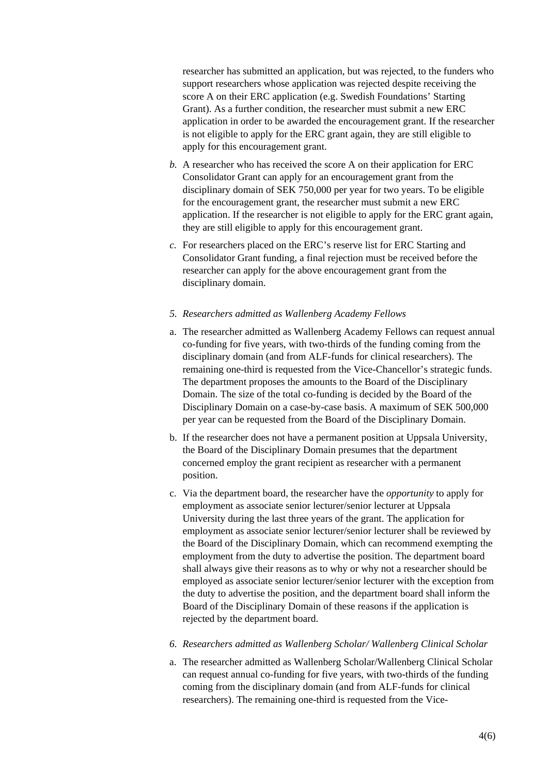researcher has submitted an application, but was rejected, to the funders who support researchers whose application was rejected despite receiving the score A on their ERC application (e.g. Swedish Foundations' Starting Grant). As a further condition, the researcher must submit a new ERC application in order to be awarded the encouragement grant. If the researcher is not eligible to apply for the ERC grant again, they are still eligible to apply for this encouragement grant.

- *b.* A researcher who has received the score A on their application for ERC Consolidator Grant can apply for an encouragement grant from the disciplinary domain of SEK 750,000 per year for two years. To be eligible for the encouragement grant, the researcher must submit a new ERC application. If the researcher is not eligible to apply for the ERC grant again, they are still eligible to apply for this encouragement grant.
- *c.* For researchers placed on the ERC's reserve list for ERC Starting and Consolidator Grant funding, a final rejection must be received before the researcher can apply for the above encouragement grant from the disciplinary domain.

#### *5. Researchers admitted as Wallenberg Academy Fellows*

- a. The researcher admitted as Wallenberg Academy Fellows can request annual co-funding for five years, with two-thirds of the funding coming from the disciplinary domain (and from ALF-funds for clinical researchers). The remaining one-third is requested from the Vice-Chancellor's strategic funds. The department proposes the amounts to the Board of the Disciplinary Domain. The size of the total co-funding is decided by the Board of the Disciplinary Domain on a case-by-case basis. A maximum of SEK 500,000 per year can be requested from the Board of the Disciplinary Domain.
- b. If the researcher does not have a permanent position at Uppsala University, the Board of the Disciplinary Domain presumes that the department concerned employ the grant recipient as researcher with a permanent position.
- c. Via the department board, the researcher have the *opportunity* to apply for employment as associate senior lecturer/senior lecturer at Uppsala University during the last three years of the grant. The application for employment as associate senior lecturer/senior lecturer shall be reviewed by the Board of the Disciplinary Domain, which can recommend exempting the employment from the duty to advertise the position. The department board shall always give their reasons as to why or why not a researcher should be employed as associate senior lecturer/senior lecturer with the exception from the duty to advertise the position, and the department board shall inform the Board of the Disciplinary Domain of these reasons if the application is rejected by the department board.
- *6. Researchers admitted as Wallenberg Scholar/ Wallenberg Clinical Scholar*
- a. The researcher admitted as Wallenberg Scholar/Wallenberg Clinical Scholar can request annual co-funding for five years, with two-thirds of the funding coming from the disciplinary domain (and from ALF-funds for clinical researchers). The remaining one-third is requested from the Vice-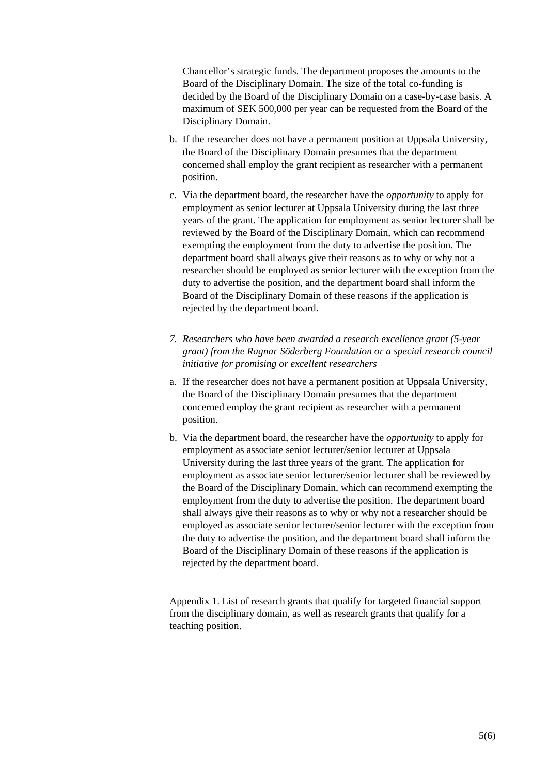Chancellor's strategic funds. The department proposes the amounts to the Board of the Disciplinary Domain. The size of the total co-funding is decided by the Board of the Disciplinary Domain on a case-by-case basis. A maximum of SEK 500,000 per year can be requested from the Board of the Disciplinary Domain.

- b. If the researcher does not have a permanent position at Uppsala University, the Board of the Disciplinary Domain presumes that the department concerned shall employ the grant recipient as researcher with a permanent position.
- c. Via the department board, the researcher have the *opportunity* to apply for employment as senior lecturer at Uppsala University during the last three years of the grant. The application for employment as senior lecturer shall be reviewed by the Board of the Disciplinary Domain, which can recommend exempting the employment from the duty to advertise the position. The department board shall always give their reasons as to why or why not a researcher should be employed as senior lecturer with the exception from the duty to advertise the position, and the department board shall inform the Board of the Disciplinary Domain of these reasons if the application is rejected by the department board.
- *7. Researchers who have been awarded a research excellence grant (5-year grant) from the Ragnar Söderberg Foundation or a special research council initiative for promising or excellent researchers*
- a. If the researcher does not have a permanent position at Uppsala University, the Board of the Disciplinary Domain presumes that the department concerned employ the grant recipient as researcher with a permanent position.
- b. Via the department board, the researcher have the *opportunity* to apply for employment as associate senior lecturer/senior lecturer at Uppsala University during the last three years of the grant. The application for employment as associate senior lecturer/senior lecturer shall be reviewed by the Board of the Disciplinary Domain, which can recommend exempting the employment from the duty to advertise the position. The department board shall always give their reasons as to why or why not a researcher should be employed as associate senior lecturer/senior lecturer with the exception from the duty to advertise the position, and the department board shall inform the Board of the Disciplinary Domain of these reasons if the application is rejected by the department board.

Appendix 1. List of research grants that qualify for targeted financial support from the disciplinary domain, as well as research grants that qualify for a teaching position.